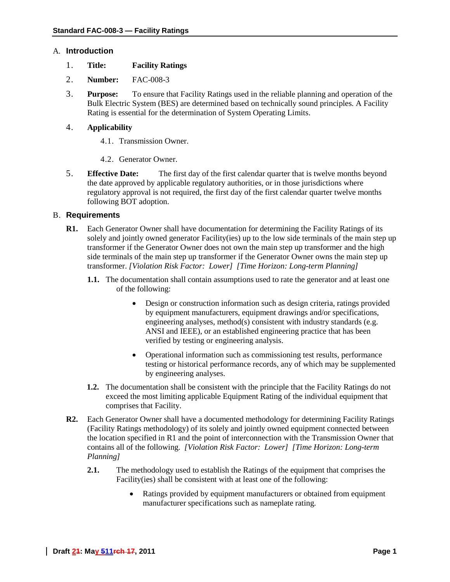### A. **Introduction**

- 1. **Title: Facility Ratings**
- 2. **Number:** FAC-008-3
- 3. **Purpose:** To ensure that Facility Ratings used in the reliable planning and operation of the Bulk Electric System (BES) are determined based on technically sound principles. A Facility Rating is essential for the determination of System Operating Limits.

## 4. **Applicability**

- 4.1. Transmission Owner.
- 4.2. Generator Owner.
- 5. **Effective Date:** The first day of the first calendar quarter that is twelve months beyond the date approved by applicable regulatory authorities, or in those jurisdictions where regulatory approval is not required, the first day of the first calendar quarter twelve months following BOT adoption.

#### B. **Requirements**

- **R1.** Each Generator Owner shall have documentation for determining the Facility Ratings of its solely and jointly owned generator Facility(ies) up to the low side terminals of the main step up transformer if the Generator Owner does not own the main step up transformer and the high side terminals of the main step up transformer if the Generator Owner owns the main step up transformer. *[Violation Risk Factor: Lower] [Time Horizon: Long-term Planning]*
	- **1.1.** The documentation shall contain assumptions used to rate the generator and at least one of the following:
		- Design or construction information such as design criteria, ratings provided by equipment manufacturers, equipment drawings and/or specifications, engineering analyses, method(s) consistent with industry standards (e.g. ANSI and IEEE), or an established engineering practice that has been verified by testing or engineering analysis.
		- Operational information such as commissioning test results, performance testing or historical performance records, any of which may be supplemented by engineering analyses.
	- **1.2.** The documentation shall be consistent with the principle that the Facility Ratings do not exceed the most limiting applicable Equipment Rating of the individual equipment that comprises that Facility.
- **R2.** Each Generator Owner shall have a documented methodology for determining Facility Ratings (Facility Ratings methodology) of its solely and jointly owned equipment connected between the location specified in R1 and the point of interconnection with the Transmission Owner that contains all of the following. *[Violation Risk Factor: Lower] [Time Horizon: Long-term Planning]*
	- **2.1.** The methodology used to establish the Ratings of the equipment that comprises the Facility(ies) shall be consistent with at least one of the following:
		- Ratings provided by equipment manufacturers or obtained from equipment manufacturer specifications such as nameplate rating.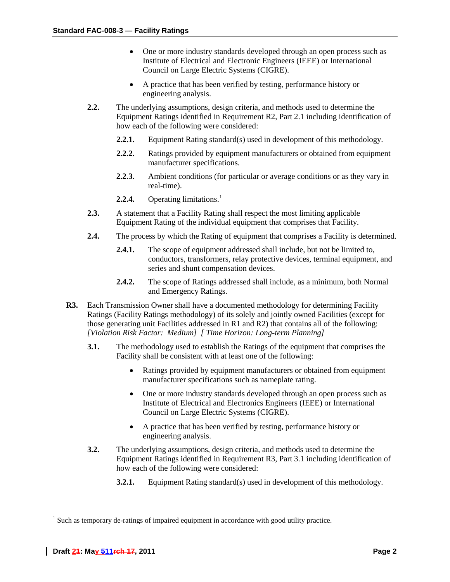- One or more industry standards developed through an open process such as Institute of Electrical and Electronic Engineers (IEEE) or International Council on Large Electric Systems (CIGRE).
- A practice that has been verified by testing, performance history or engineering analysis.
- **2.2.** The underlying assumptions, design criteria, and methods used to determine the Equipment Ratings identified in Requirement R2, Part 2.1 including identification of how each of the following were considered:
	- **2.2.1.** Equipment Rating standard(s) used in development of this methodology.
	- **2.2.2.** Ratings provided by equipment manufacturers or obtained from equipment manufacturer specifications.
	- **2.2.3.** Ambient conditions (for particular or average conditions or as they vary in real-time).
	- **2.2.4.** Operating limitations. [1](#page-1-0)
- **2.3.** A statement that a Facility Rating shall respect the most limiting applicable Equipment Rating of the individual equipment that comprises that Facility.
- **2.4.** The process by which the Rating of equipment that comprises a Facility is determined.
	- **2.4.1.** The scope of equipment addressed shall include, but not be limited to, conductors, transformers, relay protective devices, terminal equipment, and series and shunt compensation devices.
	- **2.4.2.** The scope of Ratings addressed shall include, as a minimum, both Normal and Emergency Ratings.
- **R3.** Each Transmission Owner shall have a documented methodology for determining Facility Ratings (Facility Ratings methodology) of its solely and jointly owned Facilities (except for those generating unit Facilities addressed in R1 and R2) that contains all of the following: *[Violation Risk Factor: Medium] [ Time Horizon: Long-term Planning]*
	- **3.1.** The methodology used to establish the Ratings of the equipment that comprises the Facility shall be consistent with at least one of the following:
		- Ratings provided by equipment manufacturers or obtained from equipment manufacturer specifications such as nameplate rating.
		- One or more industry standards developed through an open process such as Institute of Electrical and Electronics Engineers (IEEE) or International Council on Large Electric Systems (CIGRE).
		- A practice that has been verified by testing, performance history or engineering analysis.
	- **3.2.** The underlying assumptions, design criteria, and methods used to determine the Equipment Ratings identified in Requirement R3, Part 3.1 including identification of how each of the following were considered:
		- **3.2.1.** Equipment Rating standard(s) used in development of this methodology.

<span id="page-1-0"></span><sup>&</sup>lt;sup>1</sup> Such as temporary de-ratings of impaired equipment in accordance with good utility practice.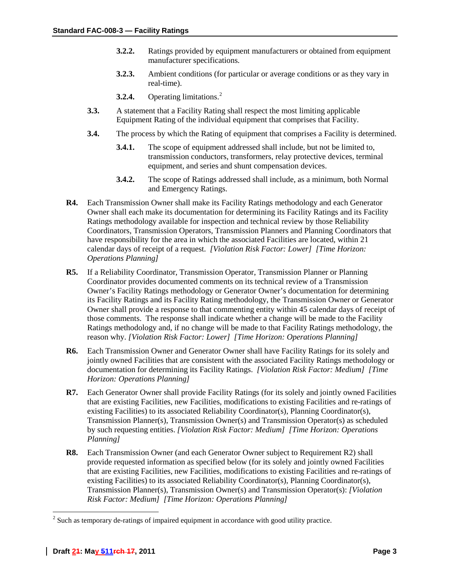- **3.2.2.** Ratings provided by equipment manufacturers or obtained from equipment manufacturer specifications.
- **3.2.3.** Ambient conditions (for particular or average conditions or as they vary in real-time).
- **3.2.4.** Operating limitations. [2](#page-2-0)
- **3.3.** A statement that a Facility Rating shall respect the most limiting applicable Equipment Rating of the individual equipment that comprises that Facility.
- **3.4.** The process by which the Rating of equipment that comprises a Facility is determined.
	- **3.4.1.** The scope of equipment addressed shall include, but not be limited to, transmission conductors, transformers, relay protective devices, terminal equipment, and series and shunt compensation devices.
	- **3.4.2.** The scope of Ratings addressed shall include, as a minimum, both Normal and Emergency Ratings.
- **R4.** Each Transmission Owner shall make its Facility Ratings methodology and each Generator Owner shall each make its documentation for determining its Facility Ratings and its Facility Ratings methodology available for inspection and technical review by those Reliability Coordinators, Transmission Operators, Transmission Planners and Planning Coordinators that have responsibility for the area in which the associated Facilities are located, within 21 calendar days of receipt of a request. *[Violation Risk Factor: Lower] [Time Horizon: Operations Planning]*
- **R5.** If a Reliability Coordinator, Transmission Operator, Transmission Planner or Planning Coordinator provides documented comments on its technical review of a Transmission Owner's Facility Ratings methodology or Generator Owner's documentation for determining its Facility Ratings and its Facility Rating methodology, the Transmission Owner or Generator Owner shall provide a response to that commenting entity within 45 calendar days of receipt of those comments. The response shall indicate whether a change will be made to the Facility Ratings methodology and, if no change will be made to that Facility Ratings methodology, the reason why. *[Violation Risk Factor: Lower] [Time Horizon: Operations Planning]*
- **R6.** Each Transmission Owner and Generator Owner shall have Facility Ratings for its solely and jointly owned Facilities that are consistent with the associated Facility Ratings methodology or documentation for determining its Facility Ratings. *[Violation Risk Factor: Medium] [Time Horizon: Operations Planning]*
- **R7.** Each Generator Owner shall provide Facility Ratings (for its solely and jointly owned Facilities that are existing Facilities, new Facilities, modifications to existing Facilities and re-ratings of existing Facilities) to its associated Reliability Coordinator(s), Planning Coordinator(s), Transmission Planner(s), Transmission Owner(s) and Transmission Operator(s) as scheduled by such requesting entities. *[Violation Risk Factor: Medium] [Time Horizon: Operations Planning]*
- **R8.** Each Transmission Owner (and each Generator Owner subject to Requirement R2) shall provide requested information as specified below (for its solely and jointly owned Facilities that are existing Facilities, new Facilities, modifications to existing Facilities and re-ratings of existing Facilities) to its associated Reliability Coordinator(s), Planning Coordinator(s), Transmission Planner(s), Transmission Owner(s) and Transmission Operator(s): *[Violation Risk Factor: Medium] [Time Horizon: Operations Planning]*

<span id="page-2-0"></span><sup>&</sup>lt;sup>2</sup> Such as temporary de-ratings of impaired equipment in accordance with good utility practice.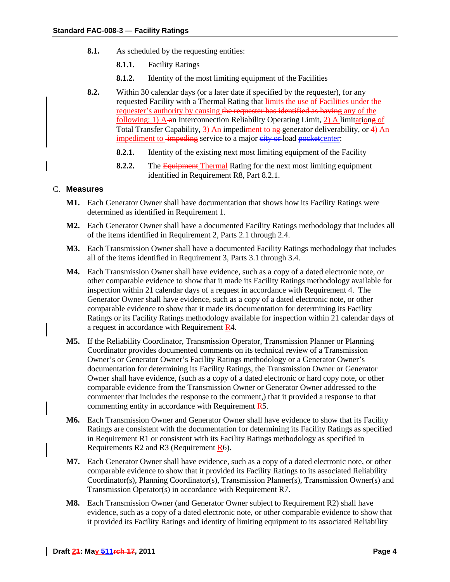- **8.1.** As scheduled by the requesting entities:
	- **8.1.1.** Facility Ratings
	- **8.1.2.** Identity of the most limiting equipment of the Facilities
- **8.2.** Within 30 calendar days (or a later date if specified by the requester), for any requested Facility with a Thermal Rating that limits the use of Facilities under the requester's authority by causing the requester has identified as having any of the following: 1) A an Interconnection Reliability Operating Limit, 2) A limitationg of Total Transfer Capability, 3) An impediment to ng generator deliverability, or 4) An impediment to impeding service to a major city or load pocketcenter:
	- **8.2.1.** Identity of the existing next most limiting equipment of the Facility
	- **8.2.2.** The **Equipment Thermal** Rating for the next most limiting equipment identified in Requirement R8, Part 8.2.1.

### C. **Measures**

- **M1.** Each Generator Owner shall have documentation that shows how its Facility Ratings were determined as identified in Requirement 1.
- **M2.** Each Generator Owner shall have a documented Facility Ratings methodology that includes all of the items identified in Requirement 2, Parts 2.1 through 2.4.
- **M3.** Each Transmission Owner shall have a documented Facility Ratings methodology that includes all of the items identified in Requirement 3, Parts 3.1 through 3.4.
- **M4.** Each Transmission Owner shall have evidence, such as a copy of a dated electronic note, or other comparable evidence to show that it made its Facility Ratings methodology available for inspection within 21 calendar days of a request in accordance with Requirement 4. The Generator Owner shall have evidence, such as a copy of a dated electronic note, or other comparable evidence to show that it made its documentation for determining its Facility Ratings or its Facility Ratings methodology available for inspection within 21 calendar days of a request in accordance with Requirement R4.
- **M5.** If the Reliability Coordinator, Transmission Operator, Transmission Planner or Planning Coordinator provides documented comments on its technical review of a Transmission Owner's or Generator Owner's Facility Ratings methodology or a Generator Owner's documentation for determining its Facility Ratings, the Transmission Owner or Generator Owner shall have evidence, (such as a copy of a dated electronic or hard copy note, or other comparable evidence from the Transmission Owner or Generator Owner addressed to the commenter that includes the response to the comment,) that it provided a response to that commenting entity in accordance with Requirement R5.
- **M6.** Each Transmission Owner and Generator Owner shall have evidence to show that its Facility Ratings are consistent with the documentation for determining its Facility Ratings as specified in Requirement R1 or consistent with its Facility Ratings methodology as specified in Requirements R2 and R3 (Requirement R6).
- **M7.** Each Generator Owner shall have evidence, such as a copy of a dated electronic note, or other comparable evidence to show that it provided its Facility Ratings to its associated Reliability Coordinator(s), Planning Coordinator(s), Transmission Planner(s), Transmission Owner(s) and Transmission Operator(s) in accordance with Requirement R7.
- **M8.** Each Transmission Owner (and Generator Owner subject to Requirement R2) shall have evidence, such as a copy of a dated electronic note, or other comparable evidence to show that it provided its Facility Ratings and identity of limiting equipment to its associated Reliability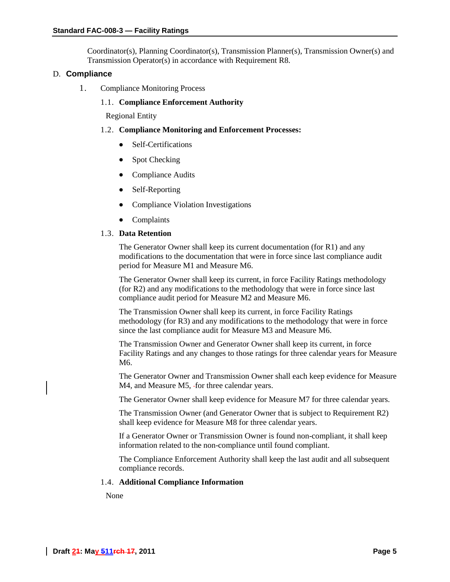Coordinator(s), Planning Coordinator(s), Transmission Planner(s), Transmission Owner(s) and Transmission Operator(s) in accordance with Requirement R8.

#### D. **Compliance**

1. Compliance Monitoring Process

#### 1.1. **Compliance Enforcement Authority**

Regional Entity

#### 1.2. **Compliance Monitoring and Enforcement Processes:**

- Self-Certifications
- Spot Checking
- Compliance Audits
- Self-Reporting
- Compliance Violation Investigations
- Complaints

#### 1.3. **Data Retention**

The Generator Owner shall keep its current documentation (for R1) and any modifications to the documentation that were in force since last compliance audit period for Measure M1 and Measure M6.

The Generator Owner shall keep its current, in force Facility Ratings methodology (for R2) and any modifications to the methodology that were in force since last compliance audit period for Measure M2 and Measure M6.

The Transmission Owner shall keep its current, in force Facility Ratings methodology (for R3) and any modifications to the methodology that were in force since the last compliance audit for Measure M3 and Measure M6.

The Transmission Owner and Generator Owner shall keep its current, in force Facility Ratings and any changes to those ratings for three calendar years for Measure M6.

The Generator Owner and Transmission Owner shall each keep evidence for Measure M4, and Measure M5, for three calendar years.

The Generator Owner shall keep evidence for Measure M7 for three calendar years.

The Transmission Owner (and Generator Owner that is subject to Requirement R2) shall keep evidence for Measure M8 for three calendar years.

If a Generator Owner or Transmission Owner is found non-compliant, it shall keep information related to the non-compliance until found compliant.

The Compliance Enforcement Authority shall keep the last audit and all subsequent compliance records.

#### 1.4. **Additional Compliance Information**

None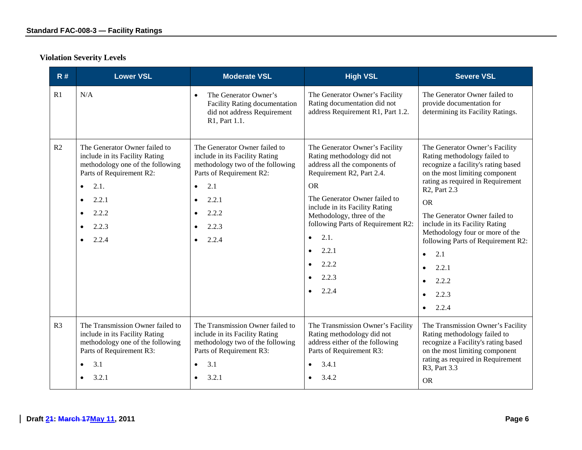# **Violation Severity Levels**

| R#             | <b>Lower VSL</b>                                                                                                                                                                                                                             | <b>Moderate VSL</b>                                                                                                                                                                                  | <b>High VSL</b>                                                                                                                                                                                                                                                                                                                                     | <b>Severe VSL</b>                                                                                                                                                                                                                                                                                                                                                                                                                                                 |
|----------------|----------------------------------------------------------------------------------------------------------------------------------------------------------------------------------------------------------------------------------------------|------------------------------------------------------------------------------------------------------------------------------------------------------------------------------------------------------|-----------------------------------------------------------------------------------------------------------------------------------------------------------------------------------------------------------------------------------------------------------------------------------------------------------------------------------------------------|-------------------------------------------------------------------------------------------------------------------------------------------------------------------------------------------------------------------------------------------------------------------------------------------------------------------------------------------------------------------------------------------------------------------------------------------------------------------|
| R1             | N/A                                                                                                                                                                                                                                          | The Generator Owner's<br>$\bullet$<br><b>Facility Rating documentation</b><br>did not address Requirement<br>R1, Part 1.1.                                                                           | The Generator Owner's Facility<br>Rating documentation did not<br>address Requirement R1, Part 1.2.                                                                                                                                                                                                                                                 | The Generator Owner failed to<br>provide documentation for<br>determining its Facility Ratings.                                                                                                                                                                                                                                                                                                                                                                   |
| R2             | The Generator Owner failed to<br>include in its Facility Rating<br>methodology one of the following<br>Parts of Requirement R2:<br>2.1.<br>$\bullet$<br>2.2.1<br>$\bullet$<br>2.2.2<br>$\bullet$<br>2.2.3<br>$\bullet$<br>2.2.4<br>$\bullet$ | The Generator Owner failed to<br>include in its Facility Rating<br>methodology two of the following<br>Parts of Requirement R2:<br>2.1<br>$\bullet$<br>2.2.1<br>$\bullet$<br>2.2.2<br>2.2.3<br>2.2.4 | The Generator Owner's Facility<br>Rating methodology did not<br>address all the components of<br>Requirement R2, Part 2.4.<br><b>OR</b><br>The Generator Owner failed to<br>include in its Facility Rating<br>Methodology, three of the<br>following Parts of Requirement R2:<br>2.1.<br>$\bullet$<br>2.2.1<br>$\bullet$<br>2.2.2<br>2.2.3<br>2.2.4 | The Generator Owner's Facility<br>Rating methodology failed to<br>recognize a facility's rating based<br>on the most limiting component<br>rating as required in Requirement<br>R <sub>2</sub> , Part 2.3<br><b>OR</b><br>The Generator Owner failed to<br>include in its Facility Rating<br>Methodology four or more of the<br>following Parts of Requirement R2:<br>2.1<br>$\bullet$<br>2.2.1<br>$\bullet$<br>2.2.2<br>2.2.3<br>$\bullet$<br>2.2.4<br>$\bullet$ |
| R <sub>3</sub> | The Transmission Owner failed to<br>include in its Facility Rating<br>methodology one of the following<br>Parts of Requirement R3:<br>3.1<br>$\bullet$<br>3.2.1<br>$\bullet$                                                                 | The Transmission Owner failed to<br>include in its Facility Rating<br>methodology two of the following<br>Parts of Requirement R3:<br>3.1<br>$\bullet$<br>3.2.1                                      | The Transmission Owner's Facility<br>Rating methodology did not<br>address either of the following<br>Parts of Requirement R3:<br>3.4.1<br>3.4.2                                                                                                                                                                                                    | The Transmission Owner's Facility<br>Rating methodology failed to<br>recognize a Facility's rating based<br>on the most limiting component<br>rating as required in Requirement<br>R3, Part 3.3<br><b>OR</b>                                                                                                                                                                                                                                                      |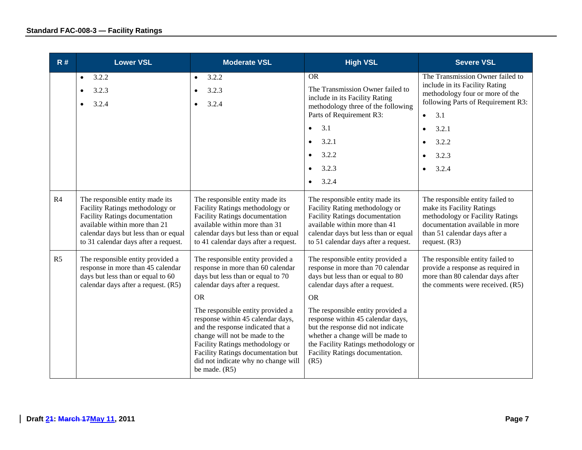| R#             | <b>Lower VSL</b><br><b>Moderate VSL</b>                                                                                                                                                                                                                                                                                       |                                                                                                                                                                                                                                                                                  | <b>High VSL</b>                                                                                                                                                                                                                   | <b>Severe VSL</b>                                                                                                                                                                       |
|----------------|-------------------------------------------------------------------------------------------------------------------------------------------------------------------------------------------------------------------------------------------------------------------------------------------------------------------------------|----------------------------------------------------------------------------------------------------------------------------------------------------------------------------------------------------------------------------------------------------------------------------------|-----------------------------------------------------------------------------------------------------------------------------------------------------------------------------------------------------------------------------------|-----------------------------------------------------------------------------------------------------------------------------------------------------------------------------------------|
|                | 3.2.2<br>$\bullet$<br>3.2.3<br>3.2.4                                                                                                                                                                                                                                                                                          | 3.2.2<br>$\bullet$<br>3.2.3<br>$\bullet$<br>3.2.4<br>$\bullet$                                                                                                                                                                                                                   | <b>OR</b><br>The Transmission Owner failed to<br>include in its Facility Rating<br>methodology three of the following<br>Parts of Requirement R3:<br>3.1<br>$\bullet$                                                             | The Transmission Owner failed to<br>include in its Facility Rating<br>methodology four or more of the<br>following Parts of Requirement R3:<br>3.1<br>$\bullet$<br>3.2.1<br>$\bullet$   |
|                |                                                                                                                                                                                                                                                                                                                               |                                                                                                                                                                                                                                                                                  | 3.2.1<br>$\bullet$                                                                                                                                                                                                                |                                                                                                                                                                                         |
|                |                                                                                                                                                                                                                                                                                                                               |                                                                                                                                                                                                                                                                                  | 3.2.2<br>$\bullet$                                                                                                                                                                                                                | 3.2.3                                                                                                                                                                                   |
|                |                                                                                                                                                                                                                                                                                                                               |                                                                                                                                                                                                                                                                                  | 3.2.3<br>$\bullet$                                                                                                                                                                                                                | 3.2.4                                                                                                                                                                                   |
|                |                                                                                                                                                                                                                                                                                                                               |                                                                                                                                                                                                                                                                                  | 3.2.4<br>$\bullet$                                                                                                                                                                                                                |                                                                                                                                                                                         |
| R <sub>4</sub> | The responsible entity made its<br>Facility Ratings methodology or<br><b>Facility Ratings documentation</b><br>available within more than 21<br>calendar days but less than or equal<br>to 31 calendar days after a request.                                                                                                  | The responsible entity made its<br>Facility Ratings methodology or<br><b>Facility Ratings documentation</b><br>available within more than 31<br>calendar days but less than or equal<br>to 41 calendar days after a request.                                                     | The responsible entity made its<br>Facility Rating methodology or<br><b>Facility Ratings documentation</b><br>available within more than 41<br>calendar days but less than or equal<br>to 51 calendar days after a request.       | The responsible entity failed to<br>make its Facility Ratings<br>methodology or Facility Ratings<br>documentation available in more<br>than 51 calendar days after a<br>request. $(R3)$ |
| R <sub>5</sub> | The responsible entity provided a<br>The responsible entity provided a<br>response in more than 45 calendar<br>response in more than 60 calendar<br>days but less than or equal to 60<br>days but less than or equal to 70<br>calendar days after a request. (R5)<br>calendar days after a request.<br><b>OR</b><br><b>OR</b> |                                                                                                                                                                                                                                                                                  | The responsible entity provided a<br>response in more than 70 calendar<br>days but less than or equal to 80<br>calendar days after a request.                                                                                     | The responsible entity failed to<br>provide a response as required in<br>more than 80 calendar days after<br>the comments were received. (R5)                                           |
|                |                                                                                                                                                                                                                                                                                                                               | The responsible entity provided a<br>response within 45 calendar days,<br>and the response indicated that a<br>change will not be made to the<br>Facility Ratings methodology or<br>Facility Ratings documentation but<br>did not indicate why no change will<br>be made. $(R5)$ | The responsible entity provided a<br>response within 45 calendar days,<br>but the response did not indicate<br>whether a change will be made to<br>the Facility Ratings methodology or<br>Facility Ratings documentation.<br>(R5) |                                                                                                                                                                                         |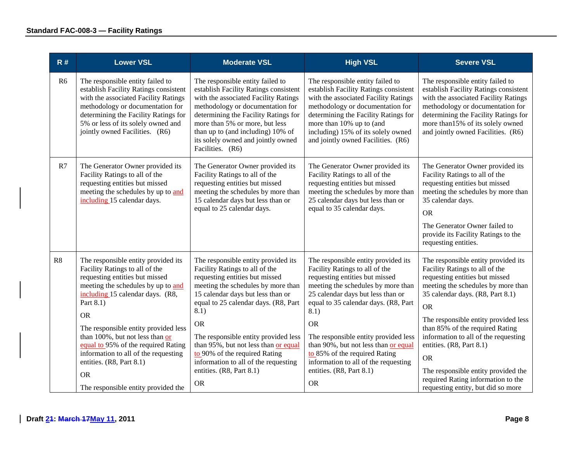| R#             | <b>Lower VSL</b>                                                                                                                                                                                                                                                                                                                                                                                                                                      | <b>Moderate VSL</b>                                                                                                                                                                                                                                                                                                                                                                                                                               | <b>High VSL</b>                                                                                                                                                                                                                                                                                                                                                                                                                                   | <b>Severe VSL</b>                                                                                                                                                                                                                                                                                                                                                                                                                                                             |
|----------------|-------------------------------------------------------------------------------------------------------------------------------------------------------------------------------------------------------------------------------------------------------------------------------------------------------------------------------------------------------------------------------------------------------------------------------------------------------|---------------------------------------------------------------------------------------------------------------------------------------------------------------------------------------------------------------------------------------------------------------------------------------------------------------------------------------------------------------------------------------------------------------------------------------------------|---------------------------------------------------------------------------------------------------------------------------------------------------------------------------------------------------------------------------------------------------------------------------------------------------------------------------------------------------------------------------------------------------------------------------------------------------|-------------------------------------------------------------------------------------------------------------------------------------------------------------------------------------------------------------------------------------------------------------------------------------------------------------------------------------------------------------------------------------------------------------------------------------------------------------------------------|
| R <sub>6</sub> | The responsible entity failed to<br>establish Facility Ratings consistent<br>with the associated Facility Ratings<br>methodology or documentation for<br>determining the Facility Ratings for<br>5% or less of its solely owned and<br>jointly owned Facilities. (R6)                                                                                                                                                                                 | The responsible entity failed to<br>establish Facility Ratings consistent<br>with the associated Facility Ratings<br>methodology or documentation for<br>determining the Facility Ratings for<br>more than 5% or more, but less<br>than up to (and including) 10% of<br>its solely owned and jointly owned<br>Facilities. (R6)                                                                                                                    | The responsible entity failed to<br>establish Facility Ratings consistent<br>with the associated Facility Ratings<br>methodology or documentation for<br>determining the Facility Ratings for<br>more than 10% up to (and<br>including) 15% of its solely owned<br>and jointly owned Facilities. (R6)                                                                                                                                             | The responsible entity failed to<br>establish Facility Ratings consistent<br>with the associated Facility Ratings<br>methodology or documentation for<br>determining the Facility Ratings for<br>more than 15% of its solely owned<br>and jointly owned Facilities. (R6)                                                                                                                                                                                                      |
| R7             | The Generator Owner provided its<br>Facility Ratings to all of the<br>requesting entities but missed<br>meeting the schedules by up to and<br>including 15 calendar days.                                                                                                                                                                                                                                                                             | The Generator Owner provided its<br>Facility Ratings to all of the<br>requesting entities but missed<br>meeting the schedules by more than<br>15 calendar days but less than or<br>equal to 25 calendar days.                                                                                                                                                                                                                                     | The Generator Owner provided its<br>Facility Ratings to all of the<br>requesting entities but missed<br>meeting the schedules by more than<br>25 calendar days but less than or<br>equal to 35 calendar days.                                                                                                                                                                                                                                     | The Generator Owner provided its<br>Facility Ratings to all of the<br>requesting entities but missed<br>meeting the schedules by more than<br>35 calendar days.<br><b>OR</b><br>The Generator Owner failed to<br>provide its Facility Ratings to the<br>requesting entities.                                                                                                                                                                                                  |
| R8             | The responsible entity provided its<br>Facility Ratings to all of the<br>requesting entities but missed<br>meeting the schedules by up to and<br>including 15 calendar days. (R8,<br>Part 8.1)<br><b>OR</b><br>The responsible entity provided less<br>than 100%, but not less than or<br>equal to 95% of the required Rating<br>information to all of the requesting<br>entities. (R8, Part 8.1)<br><b>OR</b><br>The responsible entity provided the | The responsible entity provided its<br>Facility Ratings to all of the<br>requesting entities but missed<br>meeting the schedules by more than<br>15 calendar days but less than or<br>equal to 25 calendar days. (R8, Part<br>8.1)<br><b>OR</b><br>The responsible entity provided less<br>than 95%, but not less than or equal<br>to 90% of the required Rating<br>information to all of the requesting<br>entities. (R8, Part 8.1)<br><b>OR</b> | The responsible entity provided its<br>Facility Ratings to all of the<br>requesting entities but missed<br>meeting the schedules by more than<br>25 calendar days but less than or<br>equal to 35 calendar days. (R8, Part<br>8.1)<br><b>OR</b><br>The responsible entity provided less<br>than 90%, but not less than or equal<br>to 85% of the required Rating<br>information to all of the requesting<br>entities. (R8, Part 8.1)<br><b>OR</b> | The responsible entity provided its<br>Facility Ratings to all of the<br>requesting entities but missed<br>meeting the schedules by more than<br>35 calendar days. (R8, Part 8.1)<br><b>OR</b><br>The responsible entity provided less<br>than 85% of the required Rating<br>information to all of the requesting<br>entities. (R8, Part 8.1)<br><b>OR</b><br>The responsible entity provided the<br>required Rating information to the<br>requesting entity, but did so more |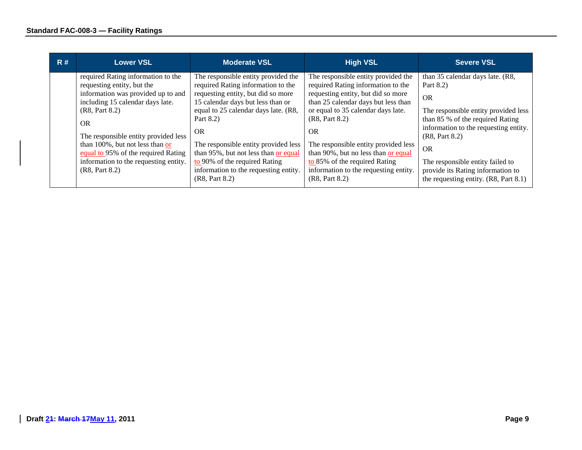| R# | <b>Lower VSL</b>                                                                                                                                                                                                                                                                                                                                 | <b>Moderate VSL</b>                                                                                                                                                                                                                                                                                                                                                                 | <b>High VSL</b>                                                                                                                                                                                                                                                                                                                                                                         | Severe VSL                                                                                                                                                                                                                                                                              |
|----|--------------------------------------------------------------------------------------------------------------------------------------------------------------------------------------------------------------------------------------------------------------------------------------------------------------------------------------------------|-------------------------------------------------------------------------------------------------------------------------------------------------------------------------------------------------------------------------------------------------------------------------------------------------------------------------------------------------------------------------------------|-----------------------------------------------------------------------------------------------------------------------------------------------------------------------------------------------------------------------------------------------------------------------------------------------------------------------------------------------------------------------------------------|-----------------------------------------------------------------------------------------------------------------------------------------------------------------------------------------------------------------------------------------------------------------------------------------|
|    | required Rating information to the<br>requesting entity, but the<br>information was provided up to and<br>including 15 calendar days late.<br>(R8, Part 8.2)<br>OR.<br>The responsible entity provided less<br>than 100%, but not less than or<br>equal to 95% of the required Rating<br>information to the requesting entity.<br>(R8, Part 8.2) | The responsible entity provided the<br>required Rating information to the<br>requesting entity, but did so more<br>15 calendar days but less than or<br>equal to 25 calendar days late. (R8,<br>Part $8.2$ )<br><b>OR</b><br>The responsible entity provided less<br>than 95%, but not less than or equal<br>to 90% of the required Rating<br>information to the requesting entity. | The responsible entity provided the<br>required Rating information to the<br>requesting entity, but did so more<br>than 25 calendar days but less than<br>or equal to 35 calendar days late.<br>(R8, Part 8.2)<br><b>OR</b><br>The responsible entity provided less<br>than 90%, but no less than or equal<br>to $85\%$ of the required Rating<br>information to the requesting entity. | than 35 calendar days late. (R8,<br>Part 8.2)<br><b>OR</b><br>The responsible entity provided less<br>than 85 % of the required Rating<br>information to the requesting entity.<br>(R8, Part 8.2)<br><b>OR</b><br>The responsible entity failed to<br>provide its Rating information to |
|    |                                                                                                                                                                                                                                                                                                                                                  | (R8, Part 8.2)                                                                                                                                                                                                                                                                                                                                                                      | (R8, Part 8.2)                                                                                                                                                                                                                                                                                                                                                                          | the requesting entity. (R8, Part 8.1)                                                                                                                                                                                                                                                   |